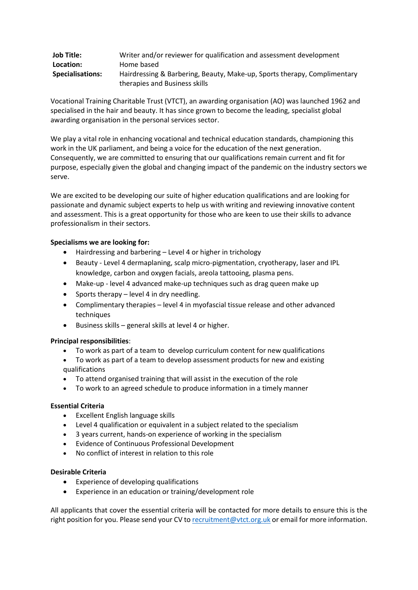| <b>Job Title:</b>       | Writer and/or reviewer for qualification and assessment development      |
|-------------------------|--------------------------------------------------------------------------|
| Location:               | Home based                                                               |
| <b>Specialisations:</b> | Hairdressing & Barbering, Beauty, Make-up, Sports therapy, Complimentary |
|                         | therapies and Business skills                                            |

Vocational Training Charitable Trust (VTCT), an awarding organisation (AO) was launched 1962 and specialised in the hair and beauty. It has since grown to become the leading, specialist global awarding organisation in the personal services sector.

We play a vital role in enhancing vocational and technical education standards, championing this work in the UK parliament, and being a voice for the education of the next generation. Consequently, we are committed to ensuring that our qualifications remain current and fit for purpose, especially given the global and changing impact of the pandemic on the industry sectors we serve.

We are excited to be developing our suite of higher education qualifications and are looking for passionate and dynamic subject experts to help us with writing and reviewing innovative content and assessment. This is a great opportunity for those who are keen to use their skills to advance professionalism in their sectors.

## **Specialisms we are looking for:**

- Hairdressing and barbering Level 4 or higher in trichology
- Beauty Level 4 dermaplaning, scalp micro-pigmentation, cryotherapy, laser and IPL knowledge, carbon and oxygen facials, areola tattooing, plasma pens.
- Make-up level 4 advanced make-up techniques such as drag queen make up
- Sports therapy level 4 in dry needling.
- Complimentary therapies level 4 in myofascial tissue release and other advanced techniques
- Business skills general skills at level 4 or higher.

## **Principal responsibilities**:

- To work as part of a team to develop curriculum content for new qualifications
- To work as part of a team to develop assessment products for new and existing qualifications
- To attend organised training that will assist in the execution of the role
- To work to an agreed schedule to produce information in a timely manner

## **Essential Criteria**

- Excellent English language skills
- Level 4 qualification or equivalent in a subject related to the specialism
- 3 years current, hands-on experience of working in the specialism
- Evidence of Continuous Professional Development
- No conflict of interest in relation to this role

## **Desirable Criteria**

- Experience of developing qualifications
- Experience in an education or training/development role

All applicants that cover the essential criteria will be contacted for more details to ensure this is the right position for you. Please send your CV to [recruitment@vtct.org.uk](mailto:recruitment@vtct.org.uk) or email for more information.